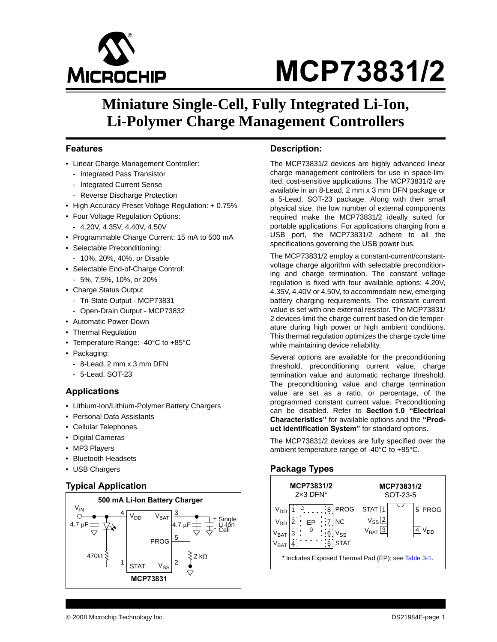

### **Miniature Single-Cell, Fully Integrated Li-Ion, Li-Polymer Charge Management Controllers**

### **Features**

- Linear Charge Management Controller:
	- Integrated Pass Transistor
	- Integrated Current Sense
	- Reverse Discharge Protection
- High Accuracy Preset Voltage Regulation:  $\pm$  0.75%
- Four Voltage Regulation Options:
- 4.20V, 4.35V, 4.40V, 4.50V
- Programmable Charge Current: 15 mA to 500 mA
- Selectable Preconditioning:
	- 10%, 20%, 40%, or Disable
- Selectable End-of-Charge Control:
- 5%, 7.5%, 10%, or 20%
- Charge Status Output
	- Tri-State Output MCP73831
	- Open-Drain Output MCP73832
- Automatic Power-Down
- Thermal Regulation
- Temperature Range: -40°C to +85°C
- Packaging:
	- 8-Lead, 2 mm x 3 mm DFN
	- 5-Lead, SOT-23

### **Applications**

- Lithium-Ion/Lithium-Polymer Battery Chargers
- Personal Data Assistants
- Cellular Telephones
- Digital Cameras
- MP3 Players
- Bluetooth Headsets
- USB Chargers

### **Typical Application**



### **Description:**

The MCP73831/2 devices are highly advanced linear charge management controllers for use in space-limited, cost-sensitive applications. The MCP73831/2 are available in an 8-Lead, 2 mm x 3 mm DFN package or a 5-Lead, SOT-23 package. Along with their small physical size, the low number of external components required make the MCP73831/2 ideally suited for portable applications. For applications charging from a USB port, the MCP73831/2 adhere to all the specifications governing the USB power bus.

The MCP73831/2 employ a constant-current/constantvoltage charge algorithm with selectable preconditioning and charge termination. The constant voltage regulation is fixed with four available options: 4.20V, 4.35V, 4.40V or 4.50V, to accommodate new, emerging battery charging requirements. The constant current value is set with one external resistor. The MCP73831/ 2 devices limit the charge current based on die temperature during high power or high ambient conditions. This thermal regulation optimizes the charge cycle time while maintaining device reliability.

Several options are available for the preconditioning threshold, preconditioning current value, charge termination value and automatic recharge threshold. The preconditioning value and charge termination value are set as a ratio, or percentage, of the programmed constant current value. Preconditioning can be disabled. Refer to **[Section 1.0 "Electrical](#page-2-0) [Characteristics"](#page-2-0)** for available options and the **"Product Identification System"** for standard options.

The MCP73831/2 devices are fully specified over the ambient temperature range of -40°C to +85°C.

### **Package Types**

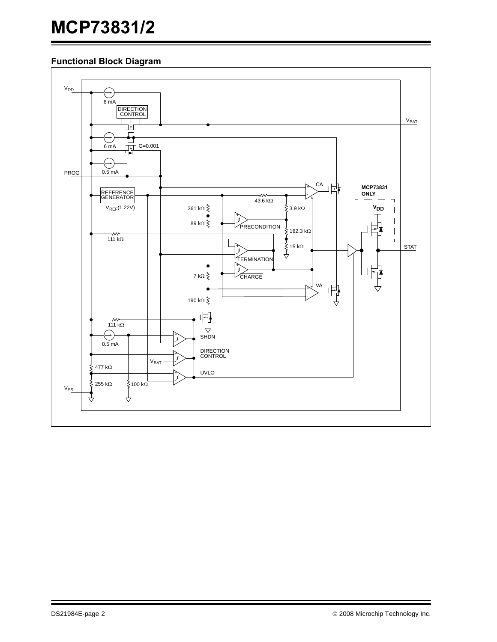### **Functional Block Diagram**

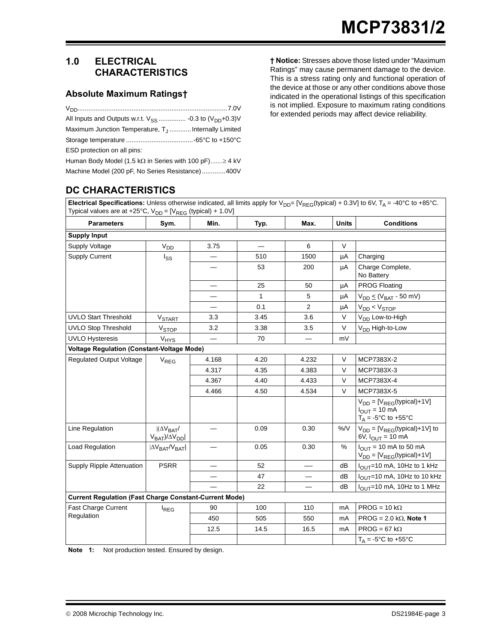### <span id="page-2-2"></span><span id="page-2-0"></span>**1.0 ELECTRICAL CHARACTERISTICS**

### **Absolute Maximum Ratings†**

| Maximum Junction Temperature, T <sub>J</sub> Internally Limited     |
|---------------------------------------------------------------------|
|                                                                     |
| ESD protection on all pins:                                         |
| Human Body Model (1.5 k $\Omega$ in Series with 100 pF) $\geq$ 4 kV |
| Machine Model (200 pF, No Series Resistance)  400V                  |

**† Notice:** Stresses above those listed under "Maximum Ratings" may cause permanent damage to the device. This is a stress rating only and functional operation of the device at those or any other conditions above those indicated in the operational listings of this specification is not implied. Exposure to maximum rating conditions for extended periods may affect device reliability.

### **DC CHARACTERISTICS**

**Electrical Specifications:** Unless otherwise indicated, all limits apply for  $V_{DD}$ = [V<sub>REG</sub>(typical) + 0.3V] to 6V, T<sub>A</sub> = -40°C to +85°C. Typical values are at +25°C,  $V_{DD} = [V_{REG} (typical) + 1.0V]$ 

| <b>Parameters</b>                                             | Sym.                                                | Min.                     | Typ. | Max.           | <b>Units</b>  | <b>Conditions</b>                                                                                            |
|---------------------------------------------------------------|-----------------------------------------------------|--------------------------|------|----------------|---------------|--------------------------------------------------------------------------------------------------------------|
| <b>Supply Input</b>                                           |                                                     |                          |      |                |               |                                                                                                              |
| <b>Supply Voltage</b>                                         | $V_{DD}$                                            | 3.75                     |      | 6              | $\vee$        |                                                                                                              |
| <b>Supply Current</b>                                         | l <sub>SS</sub>                                     | $\overline{\phantom{0}}$ | 510  | 1500           | μA            | Charging                                                                                                     |
|                                                               |                                                     |                          | 53   | 200            | μA            | Charge Complete,<br>No Battery                                                                               |
|                                                               |                                                     |                          | 25   | 50             | μA            | <b>PROG Floating</b>                                                                                         |
|                                                               |                                                     |                          | 1    | 5              | μA            | $V_{DD} \leq (V_{BAT} - 50 \text{ mV})$                                                                      |
|                                                               |                                                     |                          | 0.1  | $\overline{2}$ | μA            | $V_{DD}$ < $V_{STOP}$                                                                                        |
| <b>UVLO Start Threshold</b>                                   | <b>V<sub>START</sub></b>                            | 3.3                      | 3.45 | 3.6            | $\vee$        | V <sub>DD</sub> Low-to-High                                                                                  |
| <b>UVLO Stop Threshold</b>                                    | V <sub>STOP</sub>                                   | 3.2                      | 3.38 | 3.5            | $\vee$        | V <sub>DD</sub> High-to-Low                                                                                  |
| <b>UVLO Hysteresis</b>                                        | V <sub>HYS</sub>                                    |                          | 70   |                | mV            |                                                                                                              |
| <b>Voltage Regulation (Constant-Voltage Mode)</b>             |                                                     |                          |      |                |               |                                                                                                              |
| <b>Regulated Output Voltage</b>                               | $V_{REG}$                                           | 4.168                    | 4.20 | 4.232          | $\vee$        | MCP7383X-2                                                                                                   |
|                                                               |                                                     | 4.317                    | 4.35 | 4.383          | $\vee$        | MCP7383X-3                                                                                                   |
|                                                               |                                                     | 4.367                    | 4.40 | 4.433          | $\vee$        | MCP7383X-4                                                                                                   |
|                                                               |                                                     | 4.466                    | 4.50 | 4.534          | $\vee$        | MCP7383X-5                                                                                                   |
|                                                               |                                                     |                          |      |                |               | $V_{DD} = [V_{REG}(typical) + 1V]$<br>$I_{OUT} = 10$ mA<br>$T_A = -5^\circ \text{C}$ to $+55^\circ \text{C}$ |
| Line Regulation                                               | $ (\Delta V_{BAT}/$<br>$V_{BAT}$ )/ $\Delta V_{DD}$ |                          | 0.09 | 0.30           | $\%N$         | $V_{DD}$ = [ $V_{REG}$ (typical)+1V] to<br>6V, $I_{OUT}$ = 10 mA                                             |
| Load Regulation                                               | $ \Delta V_{BAT}/V_{BAT} $                          |                          | 0.05 | 0.30           | $\frac{9}{6}$ | $I_{\text{OUT}}$ = 10 mA to 50 mA<br>$V_{DD} = [V_{REG}(typical) + 1V]$                                      |
| Supply Ripple Attenuation                                     | <b>PSRR</b>                                         |                          | 52   |                | dB            | l <sub>OUT</sub> =10 mA, 10Hz to 1 kHz                                                                       |
|                                                               |                                                     |                          | 47   |                | dB            | I <sub>OUT</sub> =10 mA, 10Hz to 10 kHz                                                                      |
|                                                               |                                                     |                          | 22   |                | dB            | I <sub>OUT</sub> =10 mA, 10Hz to 1 MHz                                                                       |
| <b>Current Regulation (Fast Charge Constant-Current Mode)</b> |                                                     |                          |      |                |               |                                                                                                              |
| <b>Fast Charge Current</b>                                    | $I_{REG}$                                           | 90                       | 100  | 110            | mA            | $PROG = 10 k\Omega$                                                                                          |
| Regulation                                                    |                                                     | 450                      | 505  | 550            | mA            | PROG = $2.0$ k $\Omega$ , Note 1                                                                             |
|                                                               |                                                     | 12.5                     | 14.5 | 16.5           | mA            | $PROG = 67 k\Omega$                                                                                          |
|                                                               |                                                     |                          |      |                |               | $T_{\Delta} = -5^{\circ}C$ to $+55^{\circ}C$                                                                 |

<span id="page-2-1"></span>**Note 1:** Not production tested. Ensured by design.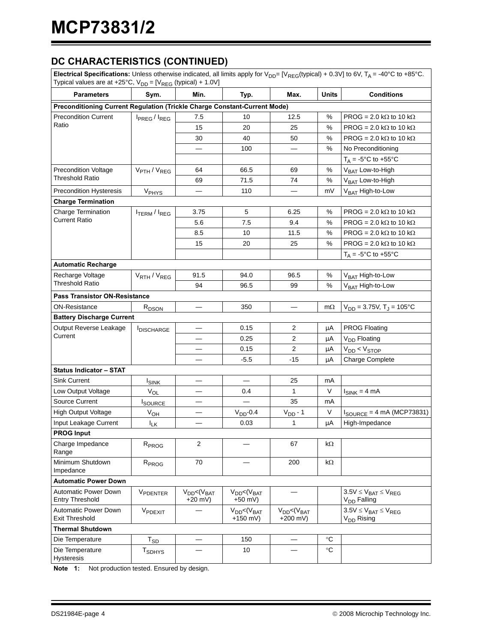### **DC CHARACTERISTICS (CONTINUED)**

**Electrical Specifications:** Unless otherwise indicated, all limits apply for  $V_{\text{DD}}$ = [V<sub>REG</sub>(typical) + 0.3V] to 6V, T<sub>A</sub> = -40°C to +85°C. Typical values are at +25°C,  $V_{DD}$  = [ $V_{REG}$  (typical) + 1.0V]

| rypical values are at $125$ O, $v_{\text{DD}}$ – $1v_{\text{REG}}$ (typical) $1, 1.0v_{\text{J}}$ |                                      |                                   |                                    |                                   |                   |                                                             |
|---------------------------------------------------------------------------------------------------|--------------------------------------|-----------------------------------|------------------------------------|-----------------------------------|-------------------|-------------------------------------------------------------|
| <b>Parameters</b>                                                                                 | Sym.                                 | Min.                              | Typ.                               | Max.                              | <b>Units</b>      | <b>Conditions</b>                                           |
| Preconditioning Current Regulation (Trickle Charge Constant-Current Mode)                         |                                      |                                   |                                    |                                   |                   |                                                             |
| <b>Precondition Current</b>                                                                       | I <sub>PREG</sub> / I <sub>REG</sub> | 7.5                               | 10                                 | 12.5                              | %                 | PROG = 2.0 k $\Omega$ to 10 k $\Omega$                      |
| Ratio                                                                                             |                                      | 15                                | 20                                 | 25                                | %                 | PROG = 2.0 k $\Omega$ to 10 k $\Omega$                      |
|                                                                                                   |                                      | 30                                | 40                                 | 50                                | %                 | PROG = 2.0 kΩ to 10 kΩ                                      |
|                                                                                                   |                                      |                                   | 100                                |                                   | %                 | No Preconditioning                                          |
|                                                                                                   |                                      |                                   |                                    |                                   |                   | $T_A = -5^\circ \text{C}$ to $+55^\circ \text{C}$           |
| <b>Precondition Voltage</b>                                                                       | V <sub>PTH</sub> / V <sub>REG</sub>  | 64                                | 66.5                               | 69                                | %                 | V <sub>BAT</sub> Low-to-High                                |
| <b>Threshold Ratio</b>                                                                            |                                      | 69                                | 71.5                               | 74                                | %                 | V <sub>BAT</sub> Low-to-High                                |
| <b>Precondition Hysteresis</b>                                                                    | V <sub>PHYS</sub>                    |                                   | 110                                | —                                 | mV                | V <sub>BAT</sub> High-to-Low                                |
| <b>Charge Termination</b>                                                                         |                                      |                                   |                                    |                                   |                   |                                                             |
| Charge Termination                                                                                | <b>ITERM</b> / <b>IREG</b>           | 3.75                              | 5                                  | 6.25                              | %                 | PROG = 2.0 k $\Omega$ to 10 k $\Omega$                      |
| Current Ratio                                                                                     |                                      | 5.6                               | 7.5                                | 9.4                               | %                 | PROG = 2.0 k $\Omega$ to 10 k $\Omega$                      |
|                                                                                                   |                                      | 8.5                               | 10                                 | 11.5                              | %                 | PROG = 2.0 k $\Omega$ to 10 k $\Omega$                      |
|                                                                                                   |                                      | 15                                | 20                                 | 25                                | %                 | PROG = 2.0 k $\Omega$ to 10 k $\Omega$                      |
|                                                                                                   |                                      |                                   |                                    |                                   |                   | $T_A = -5^\circ \text{C}$ to $+55^\circ \text{C}$           |
| <b>Automatic Recharge</b>                                                                         |                                      |                                   |                                    |                                   |                   |                                                             |
| Recharge Voltage                                                                                  | V <sub>RTH</sub> / V <sub>REG</sub>  | 91.5                              | 94.0                               | 96.5                              | %                 | V <sub>BAT</sub> High-to-Low                                |
| Threshold Ratio                                                                                   |                                      | 94                                | 96.5                               | 99                                | %                 | V <sub>BAT</sub> High-to-Low                                |
| <b>Pass Transistor ON-Resistance</b>                                                              |                                      |                                   |                                    |                                   |                   |                                                             |
| ON-Resistance                                                                                     | $R_{DSON}$                           |                                   | 350                                |                                   | $m\Omega$         | $V_{DD} = 3.75V$ , T <sub>J</sub> = 105°C                   |
| <b>Battery Discharge Current</b>                                                                  |                                      |                                   |                                    |                                   |                   |                                                             |
| Output Reverse Leakage                                                                            | <b>I</b> DISCHARGE                   |                                   | 0.15                               | 2                                 | μA                | <b>PROG Floating</b>                                        |
| Current                                                                                           |                                      |                                   | 0.25                               | $\overline{2}$                    | μA                | V <sub>DD</sub> Floating                                    |
|                                                                                                   |                                      |                                   | 0.15                               | $\overline{2}$                    | μA                | $V_{DD}$ < $V_{STOP}$                                       |
|                                                                                                   |                                      |                                   | $-5.5$                             | $-15$                             | μA                | Charge Complete                                             |
| <b>Status Indicator - STAT</b>                                                                    |                                      |                                   |                                    |                                   |                   |                                                             |
| <b>Sink Current</b>                                                                               | <b>ISINK</b>                         |                                   |                                    | 25                                | mA                |                                                             |
| Low Output Voltage                                                                                | $V_{OL}$                             |                                   | 0.4                                | 1                                 | V                 | $I_{SINK} = 4 mA$                                           |
| <b>Source Current</b>                                                                             | <b>I</b> SOURCE                      |                                   |                                    | 35                                | mA                |                                                             |
| High Output Voltage                                                                               | $V_{OH}$                             |                                   | $VDD - 0.4$                        | $V_{DD} - 1$                      | V                 | $I_{\text{SOURCE}} = 4 \text{ mA}$ (MCP73831)               |
| Input Leakage Current                                                                             | $I_{LK}$                             |                                   | 0.03                               | 1                                 | μA                | High-Impedance                                              |
| <b>PROG Input</b>                                                                                 |                                      |                                   |                                    |                                   |                   |                                                             |
| Charge Impedance<br>Range                                                                         | R <sub>PROG</sub>                    | 2                                 |                                    | 67                                | kΩ                |                                                             |
| Minimum Shutdown<br>Impedance                                                                     | R <sub>PROG</sub>                    | 70                                |                                    | 200                               | $k\Omega$         |                                                             |
| <b>Automatic Power Down</b>                                                                       |                                      |                                   |                                    |                                   |                   |                                                             |
| Automatic Power Down<br><b>Entry Threshold</b>                                                    | VPDENTER                             | $V_{DD} < (V_{BAT})$<br>$+20$ mV) | $V_{DD} < (V_{BAT}$<br>+50 mV)     |                                   |                   | $3.5V \leq V_{BAT} \leq V_{REG}$<br>V <sub>DD</sub> Falling |
| Automatic Power Down<br><b>Exit Threshold</b>                                                     | V <sub>PDEXIT</sub>                  |                                   | $V_{DD} < (V_{BAT})$<br>$+150$ mV) | $V_{DD} < (V_{BAT}$<br>$+200$ mV) |                   | $3.5V \leq V_{BAT} \leq V_{REG}$<br>V <sub>DD</sub> Rising  |
| <b>Thermal Shutdown</b>                                                                           |                                      |                                   |                                    |                                   |                   |                                                             |
| Die Temperature                                                                                   | $T_{SD}$                             |                                   | 150                                |                                   | $\rm ^{\circ}C$   |                                                             |
| Die Temperature<br><b>Hysteresis</b>                                                              | <b>T</b> <sub>SDHYS</sub>            |                                   | 10                                 |                                   | $^\circ \text{C}$ |                                                             |

**Note 1:** Not production tested. Ensured by design.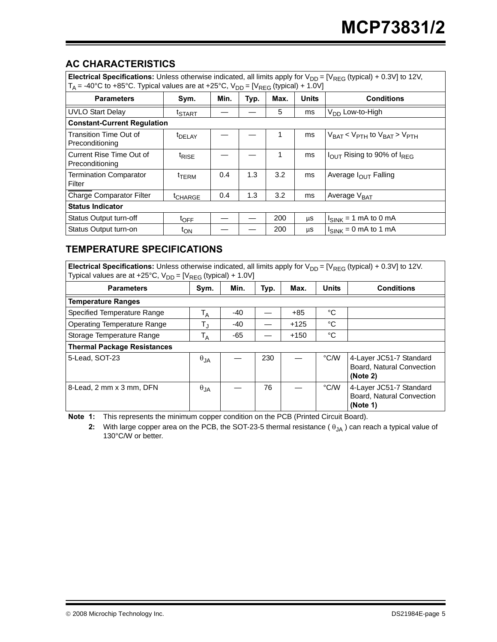### **AC CHARACTERISTICS**

| Electrical Specifications: Unless otherwise indicated, all limits apply for $V_{DD} = [V_{REG} (typical) + 0.3V]$ to 12V,<br>$T_A$ = -40°C to +85°C. Typical values are at +25°C, $V_{DD} = [V_{REG} (typical) + 1.0V]$ |                     |      |      |      |              |                                                    |  |
|-------------------------------------------------------------------------------------------------------------------------------------------------------------------------------------------------------------------------|---------------------|------|------|------|--------------|----------------------------------------------------|--|
| <b>Parameters</b>                                                                                                                                                                                                       | Sym.                | Min. | Typ. | Max. | <b>Units</b> | <b>Conditions</b>                                  |  |
| <b>UVLO Start Delay</b>                                                                                                                                                                                                 | <sup>t</sup> START  |      |      | 5    | ms           | V <sub>DD</sub> Low-to-High                        |  |
| <b>Constant-Current Regulation</b>                                                                                                                                                                                      |                     |      |      |      |              |                                                    |  |
| Transition Time Out of<br>Preconditioning                                                                                                                                                                               | <sup>t</sup> DELAY  |      |      |      | ms           | $V_{BAT}$ < $V_{PTH}$ to $V_{BAT}$ > $V_{PTH}$     |  |
| Current Rise Time Out of<br>Preconditioning                                                                                                                                                                             | <sup>t</sup> RISE   |      |      | 1    | ms           | $I_{\text{OUT}}$ Rising to 90% of $I_{\text{RFG}}$ |  |
| <b>Termination Comparator</b><br>Filter                                                                                                                                                                                 | t <sub>TERM</sub>   | 0.4  | 1.3  | 3.2  | ms           | Average $I_{\text{OUT}}$ Falling                   |  |
| Charge Comparator Filter                                                                                                                                                                                                | <sup>t</sup> CHARGE | 0.4  | 1.3  | 3.2  | ms           | Average $V_{\text{BAT}}$                           |  |
| <b>Status Indicator</b>                                                                                                                                                                                                 |                     |      |      |      |              |                                                    |  |
| Status Output turn-off                                                                                                                                                                                                  | $t_{\text{OFF}}$    |      |      | 200  | μS           | $I_{SINK}$ = 1 mA to 0 mA                          |  |
| Status Output turn-on                                                                                                                                                                                                   | t <sub>ON</sub>     |      |      | 200  | μS           | $I_{SINK} = 0$ mA to 1 mA                          |  |

### **TEMPERATURE SPECIFICATIONS**

**Electrical Specifications:** Unless otherwise indicated, all limits apply for  $V_{DD} = [V_{REG} (typical) + 0.3V]$  to 12V. Typical values are at +25°C,  $V_{DD}$  = [ $V_{REG}$  (typical) + 1.0V]

| <b>Parameters</b>                  | Sym.          | Min.  | Typ. | Max.   | <b>Units</b> | <b>Conditions</b>                                                |
|------------------------------------|---------------|-------|------|--------|--------------|------------------------------------------------------------------|
| <b>Temperature Ranges</b>          |               |       |      |        |              |                                                                  |
| Specified Temperature Range        | $T_A$         | $-40$ |      | $+85$  | °C           |                                                                  |
| <b>Operating Temperature Range</b> | $T_{\rm J}$   | -40   |      | $+125$ | °C           |                                                                  |
| Storage Temperature Range          | $T_A$         | -65   |      | $+150$ | °C           |                                                                  |
| <b>Thermal Package Resistances</b> |               |       |      |        |              |                                                                  |
| 5-Lead, SOT-23                     | $\theta_{JA}$ |       | 230  |        | °C/W         | 4-Layer JC51-7 Standard<br>Board, Natural Convection<br>(Note 2) |
| 8-Lead, 2 mm x 3 mm, DFN           | $\theta_{JA}$ |       | 76   |        | °C/W         | 4-Layer JC51-7 Standard<br>Board, Natural Convection<br>(Note 1) |

<span id="page-4-1"></span><span id="page-4-0"></span>**Note 1:** This represents the minimum copper condition on the PCB (Printed Circuit Board).

**2:** With large copper area on the PCB, the SOT-23-5 thermal resistance ( θ<sub>JA</sub>) can reach a typical value of 130°C/W or better.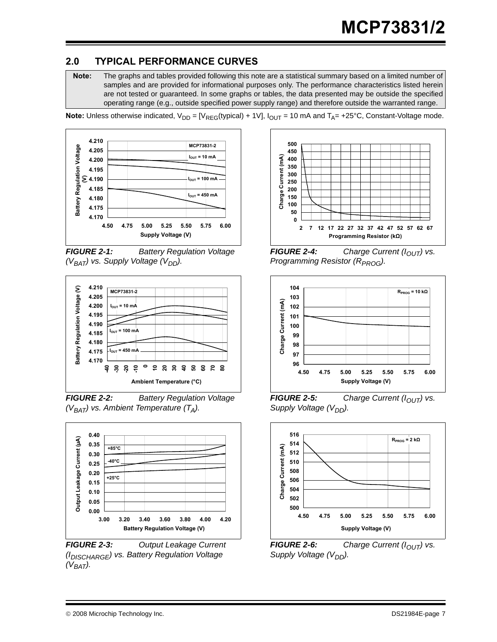### <span id="page-6-0"></span>**2.0 TYPICAL PERFORMANCE CURVES**

**Note:** The graphs and tables provided following this note are a statistical summary based on a limited number of samples and are provided for informational purposes only. The performance characteristics listed herein are not tested or guaranteed. In some graphs or tables, the data presented may be outside the specified operating range (e.g., outside specified power supply range) and therefore outside the warranted range.

**Note:** Unless otherwise indicated,  $V_{DD} = [V_{REG}(typical) + 1V]$ ,  $I_{OUT} = 10$  mA and  $T_A = +25$ °C, Constant-Voltage mode.







*FIGURE 2-2: Battery Regulation Voltage (VBAT) vs. Ambient Temperature (TA).*



*FIGURE 2-3: Output Leakage Current (IDISCHARGE) vs. Battery Regulation Voltage*   $(V_{BAT})$ .



**FIGURE 2-4:** Charge Current ( $I_{OUT}$ ) vs. *Programming Resistor (R<sub>PROG</sub>).* 



*FIGURE 2-5: Charge Current (I<sub>OUT</sub>) vs. Supply Voltage (V<sub>DD</sub>)*.



*FIGURE 2-6: Charge Current (I<sub>OUT</sub>) vs. Supply Voltage (V<sub>DD</sub>)*.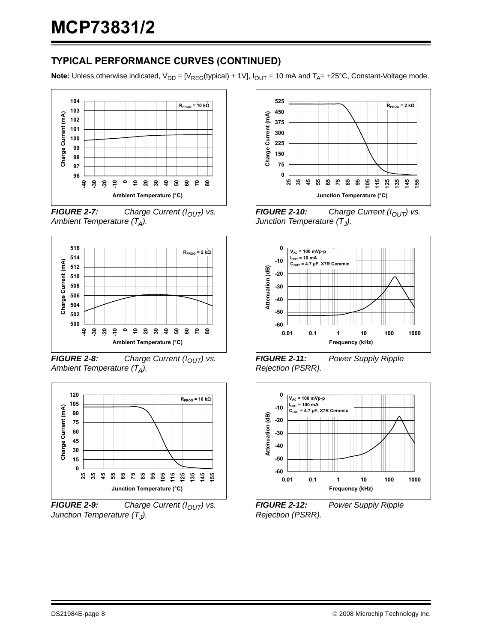### **TYPICAL PERFORMANCE CURVES (CONTINUED)**

**Note:** Unless otherwise indicated,  $V_{DD} = [V_{REG}(typical) + 1V]$ ,  $I_{OUT} = 10$  mA and  $T_A = +25$ °C, Constant-Voltage mode.



*FIGURE 2-7: Charge Current (I<sub>OUT</sub>) vs. Ambient Temperature (TA).*



*FIGURE 2-8: Charge Current (I<sub>OUT</sub>) vs. Ambient Temperature (TA).*



*FIGURE 2-9: Charge Current (I<sub>OUT</sub>) vs. Junction Temperature (T<sub>J</sub>).* 



*FIGURE 2-10: Charge Current (I<sub>OUT</sub>) vs. Junction Temperature (T<sub>J</sub>).* 



*FIGURE 2-11: Power Supply Ripple Rejection (PSRR).*



*FIGURE 2-12: Power Supply Ripple Rejection (PSRR).*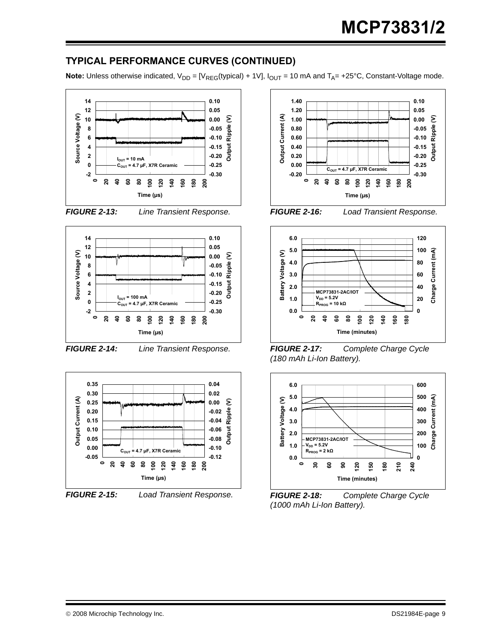### **TYPICAL PERFORMANCE CURVES (CONTINUED)**

**Note:** Unless otherwise indicated,  $V_{DD} = [V_{REG}(typical) + 1V]$ ,  $I_{OUT} = 10$  mA and  $T_A = +25$ °C, Constant-Voltage mode.









*FIGURE 2-14: Line Transient Response.*





*FIGURE 2-15: Load Transient Response.*









*FIGURE 2-17: Complete Charge Cycle (180 mAh Li-Ion Battery).*



*FIGURE 2-18: Complete Charge Cycle (1000 mAh Li-Ion Battery).*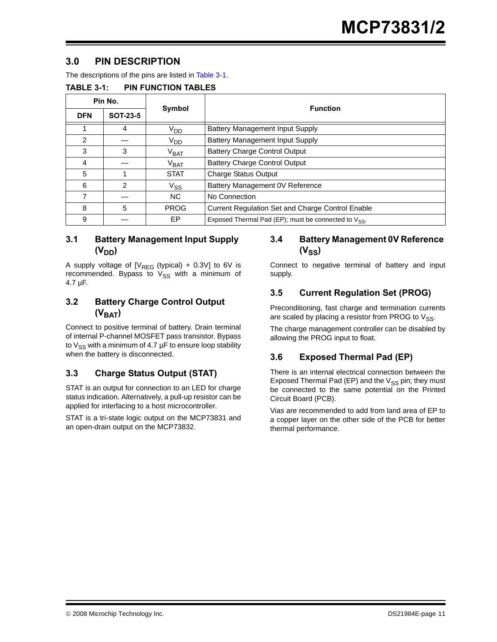### <span id="page-10-1"></span>**3.0 PIN DESCRIPTION**

The descriptions of the pins are listed in [Table 3-1.](#page-10-0)

<span id="page-10-0"></span>

| <b>TABLE 3-1:</b> | <b>PIN FUNCTION TABLES</b> |
|-------------------|----------------------------|
|-------------------|----------------------------|

|               | Pin No.         |                   | <b>Function</b>                                                  |  |  |  |
|---------------|-----------------|-------------------|------------------------------------------------------------------|--|--|--|
| <b>DFN</b>    | <b>SOT-23-5</b> | Symbol            |                                                                  |  |  |  |
|               | 4               | V <sub>DD</sub>   | <b>Battery Management Input Supply</b>                           |  |  |  |
| $\mathcal{P}$ |                 | V <sub>DD</sub>   | <b>Battery Management Input Supply</b>                           |  |  |  |
| 3             | 3               | $V_{\text{BAT}}$  | <b>Battery Charge Control Output</b>                             |  |  |  |
| 4             |                 | $V_{\text{BAT}}$  | <b>Battery Charge Control Output</b>                             |  |  |  |
| 5             |                 | <b>STAT</b>       | <b>Charge Status Output</b>                                      |  |  |  |
| 6             | 2               | $\mathrm{V_{SS}}$ | Battery Management 0V Reference                                  |  |  |  |
| 7             |                 | N <sub>C</sub>    | No Connection                                                    |  |  |  |
| 8             | 5               | <b>PROG</b>       | <b>Current Regulation Set and Charge Control Enable</b>          |  |  |  |
| 9             |                 | EP                | Exposed Thermal Pad (EP); must be connected to V <sub>SS</sub> . |  |  |  |

### **3.1 Battery Management Input Supply**  (V<sub>DD</sub>)

A supply voltage of  $[V_{REG} (typical) + 0.3V]$  to 6V is recommended. Bypass to  $V_{SS}$  with a minimum of 4.7 µF.

### **3.2 Battery Charge Control Output**   $(V<sub>BAT</sub>)$

Connect to positive terminal of battery. Drain terminal of internal P-channel MOSFET pass transistor. Bypass to  $V_{SS}$  with a minimum of 4.7  $\mu$ F to ensure loop stability when the battery is disconnected.

### **3.3 Charge Status Output (STAT)**

STAT is an output for connection to an LED for charge status indication. Alternatively, a pull-up resistor can be applied for interfacing to a host microcontroller.

STAT is a tri-state logic output on the MCP73831 and an open-drain output on the MCP73832.

### **3.4 Battery Management 0V Reference**   $(V_{SS})$

Connect to negative terminal of battery and input supply.

### **3.5 Current Regulation Set (PROG)**

Preconditioning, fast charge and termination currents are scaled by placing a resistor from PROG to  $V_{SS}$ .

The charge management controller can be disabled by allowing the PROG input to float.

### <span id="page-10-2"></span>**3.6 Exposed Thermal Pad (EP)**

There is an internal electrical connection between the Exposed Thermal Pad (EP) and the  $V_{SS}$  pin; they must be connected to the same potential on the Printed Circuit Board (PCB).

Vias are recommended to add from land area of EP to a copper layer on the other side of the PCB for better thermal performance.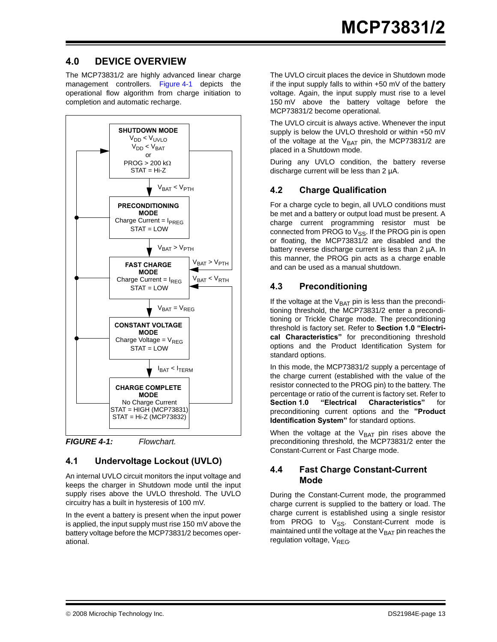### **4.0 DEVICE OVERVIEW**

The MCP73831/2 are highly advanced linear charge management controllers. [Figure 4-1](#page-12-0) depicts the operational flow algorithm from charge initiation to completion and automatic recharge.



<span id="page-12-0"></span>*FIGURE 4-1: Flowchart.*

### **4.1 Undervoltage Lockout (UVLO)**

An internal UVLO circuit monitors the input voltage and keeps the charger in Shutdown mode until the input supply rises above the UVLO threshold. The UVLO circuitry has a built in hysteresis of 100 mV.

In the event a battery is present when the input power is applied, the input supply must rise 150 mV above the battery voltage before the MCP73831/2 becomes operational.

The UVLO circuit places the device in Shutdown mode if the input supply falls to within +50 mV of the battery voltage. Again, the input supply must rise to a level 150 mV above the battery voltage before the MCP73831/2 become operational.

The UVLO circuit is always active. Whenever the input supply is below the UVLO threshold or within +50 mV of the voltage at the  $V_{BAT}$  pin, the MCP73831/2 are placed in a Shutdown mode.

During any UVLO condition, the battery reverse discharge current will be less than 2 µA.

### **4.2 Charge Qualification**

For a charge cycle to begin, all UVLO conditions must be met and a battery or output load must be present. A charge current programming resistor must be connected from PROG to  $V_{SS}$ . If the PROG pin is open or floating, the MCP73831/2 are disabled and the battery reverse discharge current is less than 2 µA. In this manner, the PROG pin acts as a charge enable and can be used as a manual shutdown.

### **4.3 Preconditioning**

If the voltage at the  $V_{BAT}$  pin is less than the preconditioning threshold, the MCP73831/2 enter a preconditioning or Trickle Charge mode. The preconditioning threshold is factory set. Refer to **[Section 1.0 "Electri](#page-2-0)[cal Characteristics"](#page-2-0)** for preconditioning threshold options and the Product Identification System for standard options.

In this mode, the MCP73831/2 supply a percentage of the charge current (established with the value of the resistor connected to the PROG pin) to the battery. The percentage or ratio of the current is factory set. Refer to **[Section 1.0 "Electrical Characteristics"](#page-2-0)** for preconditioning current options and the **["Product](#page-24-0) [Identification System"](#page-24-0)** for standard options.

When the voltage at the  $V_{BAT}$  pin rises above the preconditioning threshold, the MCP73831/2 enter the Constant-Current or Fast Charge mode.

### **4.4 Fast Charge Constant-Current Mode**

During the Constant-Current mode, the programmed charge current is supplied to the battery or load. The charge current is established using a single resistor from PROG to  $V_{SS}$ . Constant-Current mode is maintained until the voltage at the  $V<sub>BAT</sub>$  pin reaches the regulation voltage,  $V_{RFG}$ .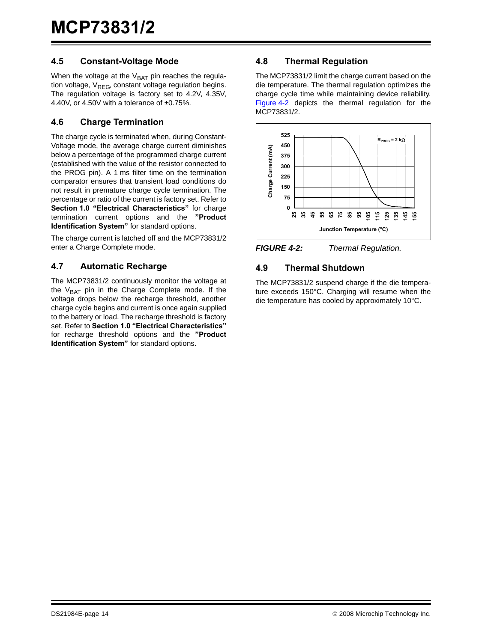### **4.5 Constant-Voltage Mode**

When the voltage at the  $V_{BAT}$  pin reaches the regulation voltage,  $V_{RFG}$  constant voltage regulation begins. The regulation voltage is factory set to 4.2V, 4.35V, 4.40V, or 4.50V with a tolerance of ±0.75%.

### **4.6 Charge Termination**

The charge cycle is terminated when, during Constant-Voltage mode, the average charge current diminishes below a percentage of the programmed charge current (established with the value of the resistor connected to the PROG pin). A 1 ms filter time on the termination comparator ensures that transient load conditions do not result in premature charge cycle termination. The percentage or ratio of the current is factory set. Refer to **[Section 1.0 "Electrical Characteristics"](#page-2-0)** for charge termination current options and the **["Product](#page-24-0) [Identification System"](#page-24-0)** for standard options.

The charge current is latched off and the MCP73831/2 enter a Charge Complete mode.

### **4.7 Automatic Recharge**

The MCP73831/2 continuously monitor the voltage at the  $V_{BAT}$  pin in the Charge Complete mode. If the voltage drops below the recharge threshold, another charge cycle begins and current is once again supplied to the battery or load. The recharge threshold is factory set. Refer to **[Section 1.0 "Electrical Characteristics"](#page-2-0)** for recharge threshold options and the **["Product](#page-24-0) [Identification System"](#page-24-0)** for standard options.

### **4.8 Thermal Regulation**

The MCP73831/2 limit the charge current based on the die temperature. The thermal regulation optimizes the charge cycle time while maintaining device reliability. [Figure 4-2](#page-13-0) depicts the thermal regulation for the MCP73831/2.



<span id="page-13-0"></span>

### **4.9 Thermal Shutdown**

The MCP73831/2 suspend charge if the die temperature exceeds 150°C. Charging will resume when the die temperature has cooled by approximately 10°C.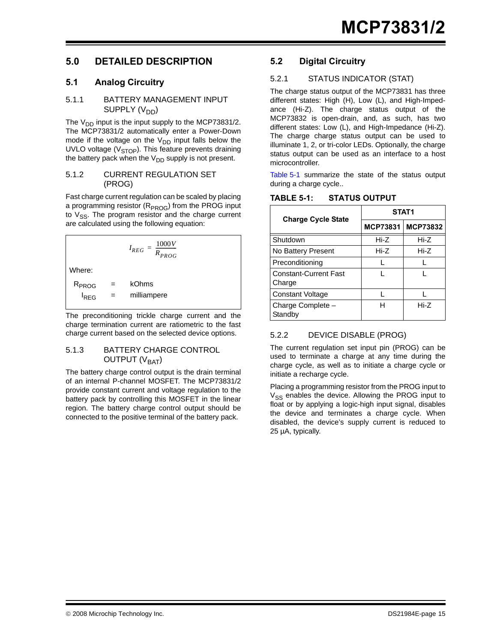### **5.0 DETAILED DESCRIPTION**

### **5.1 Analog Circuitry**

### 5.1.1 BATTERY MANAGEMENT INPUT SUPPLY (V<sub>DD</sub>)

The  $V_{DD}$  input is the input supply to the MCP73831/2. The MCP73831/2 automatically enter a Power-Down mode if the voltage on the  $V_{DD}$  input falls below the UVLO voltage ( $V<sub>STOP</sub>$ ). This feature prevents draining the battery pack when the  $V_{DD}$  supply is not present.

### 5.1.2 CURRENT REGULATION SET (PROG)

Fast charge current regulation can be scaled by placing a programming resistor (R<sub>PROG</sub>) from the PROG input to  $V_{SS}$ . The program resistor and the charge current are calculated using the following equation:

 $I_{REG} = \frac{1000V}{P}$  $=\frac{1000 V}{R_{PROG}}$ Where:  $R_{PROG}$  = kOhms  $I_{REG}$  = milliampere

The preconditioning trickle charge current and the charge termination current are ratiometric to the fast charge current based on the selected device options.

### 5.1.3 BATTERY CHARGE CONTROL OUTPUT (V<sub>BAT</sub>)

The battery charge control output is the drain terminal of an internal P-channel MOSFET. The MCP73831/2 provide constant current and voltage regulation to the battery pack by controlling this MOSFET in the linear region. The battery charge control output should be connected to the positive terminal of the battery pack.

### **5.2 Digital Circuitry**

### 5.2.1 STATUS INDICATOR (STAT)

The charge status output of the MCP73831 has three different states: High (H), Low (L), and High-Impedance (Hi-Z). The charge status output of the MCP73832 is open-drain, and, as such, has two different states: Low (L), and High-Impedance (Hi-Z). The charge charge status output can be used to illuminate 1, 2, or tri-color LEDs. Optionally, the charge status output can be used as an interface to a host microcontroller.

[Table 5-1](#page-14-0) summarize the state of the status output during a charge cycle..

|                                        | STAT <sub>1</sub> |                 |  |  |
|----------------------------------------|-------------------|-----------------|--|--|
| <b>Charge Cycle State</b>              | <b>MCP73831</b>   | <b>MCP73832</b> |  |  |
| Shutdown                               | Hi-Z              | Hi-Z            |  |  |
| No Battery Present                     | Hi-Z              | Hi-Z            |  |  |
| Preconditioning                        |                   |                 |  |  |
| <b>Constant-Current Fast</b><br>Charge |                   |                 |  |  |
| <b>Constant Voltage</b>                |                   |                 |  |  |
| Charge Complete -<br>Standby           | н                 | $Hi-Z$          |  |  |

### <span id="page-14-0"></span>**TABLE 5-1: STATUS OUTPUT**

### 5.2.2 DEVICE DISABLE (PROG)

The current regulation set input pin (PROG) can be used to terminate a charge at any time during the charge cycle, as well as to initiate a charge cycle or initiate a recharge cycle.

Placing a programming resistor from the PROG input to  $V_{SS}$  enables the device. Allowing the PROG input to float or by applying a logic-high input signal, disables the device and terminates a charge cycle. When disabled, the device's supply current is reduced to 25 µA, typically.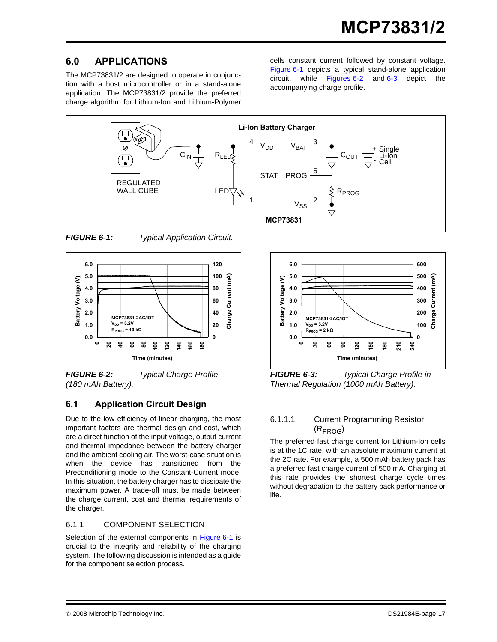### **6.0 APPLICATIONS**

The MCP73831/2 are designed to operate in conjunction with a host microcontroller or in a stand-alone application. The MCP73831/2 provide the preferred charge algorithm for Lithium-Ion and Lithium-Polymer cells constant current followed by constant voltage. [Figure 6-1](#page-16-0) depicts a typical stand-alone application circuit, while Figure[s 6-2](#page-16-1) and [6-3](#page-16-2) depict the accompanying charge profile.



<span id="page-16-0"></span>

*FIGURE 6-1: Typical Application Circuit.*



<span id="page-16-1"></span>*FIGURE 6-2: Typical Charge Profile (180 mAh Battery).*

### **6.1 Application Circuit Design**

Due to the low efficiency of linear charging, the most important factors are thermal design and cost, which are a direct function of the input voltage, output current and thermal impedance between the battery charger and the ambient cooling air. The worst-case situation is when the device has transitioned from the Preconditioning mode to the Constant-Current mode. In this situation, the battery charger has to dissipate the maximum power. A trade-off must be made between the charge current, cost and thermal requirements of the charger.

### 6.1.1 COMPONENT SELECTION

Selection of the external components in [Figure 6-1](#page-16-0) is crucial to the integrity and reliability of the charging system. The following discussion is intended as a guide for the component selection process.



<span id="page-16-2"></span>*FIGURE 6-3: Typical Charge Profile in Thermal Regulation (1000 mAh Battery).*

### 6.1.1.1 Current Programming Resistor  $(R_{PROG})$

The preferred fast charge current for Lithium-Ion cells is at the 1C rate, with an absolute maximum current at the 2C rate. For example, a 500 mAh battery pack has a preferred fast charge current of 500 mA. Charging at this rate provides the shortest charge cycle times without degradation to the battery pack performance or life.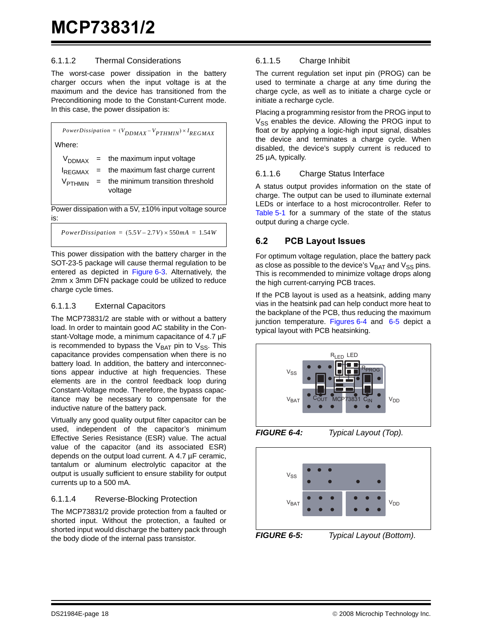### 6.1.1.2 Thermal Considerations

The worst-case power dissipation in the battery charger occurs when the input voltage is at the maximum and the device has transitioned from the Preconditioning mode to the Constant-Current mode. In this case, the power dissipation is:

Power dissipation with a 5V, ±10% input voltage source is:  $PowerDissipation = (V_{DDMAX} - V_{PTHMIN}) \times I_{REGMAX}$ Where:  $V_{DDMAX}$  = the maximum input voltage  $I_{\text{RFGMAX}}$  = the maximum fast charge current  $V_{PTHMIN}$  = the minimum transition threshold voltage

 $PowerDissipation = (5.5V - 2.7V) \times 550mA = 1.54W$ 

This power dissipation with the battery charger in the SOT-23-5 package will cause thermal regulation to be entered as depicted in [Figure 6-3.](#page-16-2) Alternatively, the 2mm x 3mm DFN package could be utilized to reduce charge cycle times.

### 6.1.1.3 External Capacitors

The MCP73831/2 are stable with or without a battery load. In order to maintain good AC stability in the Constant-Voltage mode, a minimum capacitance of 4.7 µF is recommended to bypass the  $V_{BAT}$  pin to  $V_{SS}$ . This capacitance provides compensation when there is no battery load. In addition, the battery and interconnections appear inductive at high frequencies. These elements are in the control feedback loop during Constant-Voltage mode. Therefore, the bypass capacitance may be necessary to compensate for the inductive nature of the battery pack.

Virtually any good quality output filter capacitor can be used, independent of the capacitor's minimum Effective Series Resistance (ESR) value. The actual value of the capacitor (and its associated ESR) depends on the output load current. A 4.7 µF ceramic, tantalum or aluminum electrolytic capacitor at the output is usually sufficient to ensure stability for output currents up to a 500 mA.

### 6.1.1.4 Reverse-Blocking Protection

The MCP73831/2 provide protection from a faulted or shorted input. Without the protection, a faulted or shorted input would discharge the battery pack through the body diode of the internal pass transistor.

### 6.1.1.5 Charge Inhibit

The current regulation set input pin (PROG) can be used to terminate a charge at any time during the charge cycle, as well as to initiate a charge cycle or initiate a recharge cycle.

Placing a programming resistor from the PROG input to  $V_{SS}$  enables the device. Allowing the PROG input to float or by applying a logic-high input signal, disables the device and terminates a charge cycle. When disabled, the device's supply current is reduced to 25 µA, typically.

### 6.1.1.6 Charge Status Interface

A status output provides information on the state of charge. The output can be used to illuminate external LEDs or interface to a host microcontroller. Refer to [Table 5-1](#page-14-0) for a summary of the state of the status output during a charge cycle.

### **6.2 PCB Layout Issues**

For optimum voltage regulation, place the battery pack as close as possible to the device's  $V_{\text{BAT}}$  and  $V_{\text{SS}}$  pins. This is recommended to minimize voltage drops along the high current-carrying PCB traces.

If the PCB layout is used as a heatsink, adding many vias in the heatsink pad can help conduct more heat to the backplane of the PCB, thus reducing the maximum junction temperature. Figures [6-4](#page-17-0) and [6-5](#page-17-1) depict a typical layout with PCB heatsinking.



<span id="page-17-0"></span>

<span id="page-17-1"></span>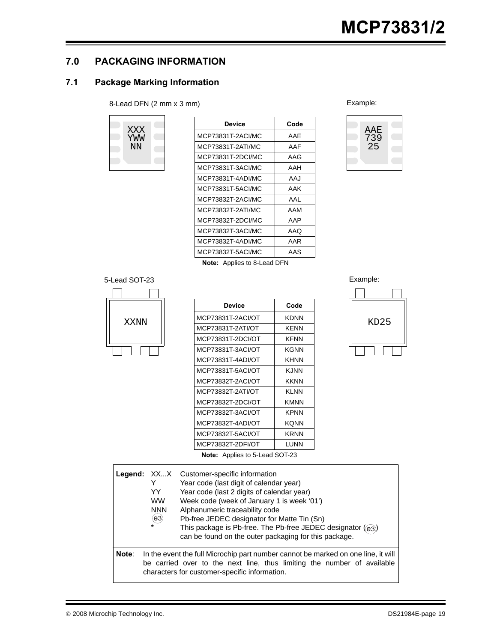### **7.0 PACKAGING INFORMATION**

### **7.1 Package Marking Information**

### 8-Lead DFN (2 mm x 3 mm) Example:



| Device            | Code |
|-------------------|------|
| MCP73831T-2ACI/MC | AAF  |
| MCP73831T-2ATI/MC | AAF  |
| MCP73831T-2DCI/MC | AAG  |
| MCP73831T-3ACI/MC | AAH  |
| MCP73831T-4ADI/MC | AAJ  |
| MCP73831T-5ACI/MC | AAK  |
| MCP73832T-2ACI/MC | AAI  |
| MCP73832T-2ATI/MC | AAM  |
| MCP73832T-2DCI/MC | AAP  |
| MCP73832T-3ACI/MC | AAQ  |
| MCP73832T-4ADI/MC | AAR  |
| MCP73832T-5ACI/MC | AAS  |



**Note:** Applies to 8-Lead DFN

### 5-Lead SOT-23 Example:



|      | <b>Device</b>                         | Code        |      |
|------|---------------------------------------|-------------|------|
| XXNN | MCP73831T-2ACI/OT                     | <b>KDNN</b> | KD25 |
|      | MCP73831T-2ATI/OT                     | <b>KENN</b> |      |
|      | MCP73831T-2DCI/OT                     | <b>KFNN</b> |      |
|      | MCP73831T-3ACI/OT                     | <b>KGNN</b> |      |
|      | MCP73831T-4ADI/OT                     | <b>KHNN</b> |      |
|      | MCP73831T-5ACI/OT                     | <b>KJNN</b> |      |
|      | MCP73832T-2ACI/OT                     | <b>KKNN</b> |      |
|      | MCP73832T-2ATI/OT                     | <b>KLNN</b> |      |
|      | MCP73832T-2DCI/OT                     | <b>KMNN</b> |      |
|      | MCP73832T-3ACI/OT                     | <b>KPNN</b> |      |
|      | MCP73832T-4ADI/OT                     | <b>KQNN</b> |      |
|      | MCP73832T-5ACI/OT                     | <b>KRNN</b> |      |
|      | MCP73832T-2DFI/OT                     | <b>LUNN</b> |      |
|      | <b>Note:</b> Applies to 5-Lead SOT-23 |             |      |





**Legend:** XX...X Customer-specific information Y Year code (last digit of calendar year) YY Year code (last 2 digits of calendar year) WW Week code (week of January 1 is week '01') NNN Alphanumeric traceability code Pb-free JEDEC designator for Matte Tin (Sn)  $*$  This package is Pb-free. The Pb-free JEDEC designator  $(q_3)$ can be found on the outer packaging for this package. **Note**: In the event the full Microchip part number cannot be marked on one line, it will be carried over to the next line, thus limiting the number of available characters for customer-specific information.  $(e<sub>3</sub>)$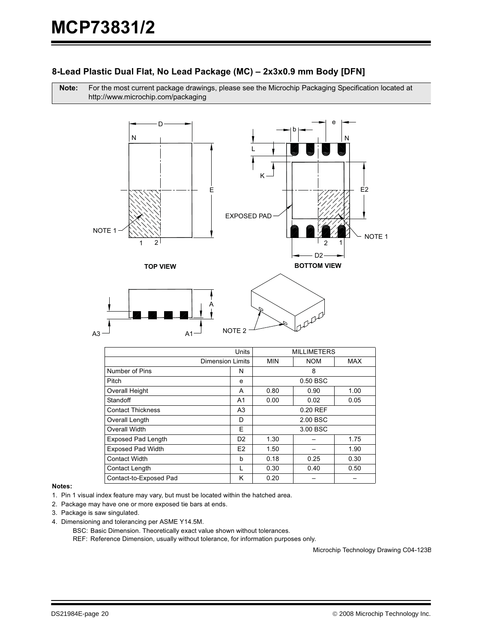### 8-Lead Plastic Dual Flat, No Lead Package (MC) – 2x3x0.9 mm Body [DFN]

Note: For the most current package drawings, please see the Microchip Packaging Specification located at http://www.microchip.com/packaging



|                           | Units                                        | <b>MILLIMETERS</b>   |          |      |
|---------------------------|----------------------------------------------|----------------------|----------|------|
|                           | <b>NOM</b><br>Dimension Limits<br><b>MIN</b> |                      |          | MAX  |
| Number of Pins            | N                                            |                      | 8        |      |
| Pitch                     | e                                            |                      | 0.50 BSC |      |
| <b>Overall Height</b>     | A                                            | 0.80                 | 0.90     | 1.00 |
| Standoff                  | A <sub>1</sub>                               | 0.00                 | 0.02     | 0.05 |
| <b>Contact Thickness</b>  | A <sub>3</sub>                               | 0.20 REF             |          |      |
| Overall Length            | D                                            | 2.00 BSC             |          |      |
| Overall Width             | F                                            | 3.00 BSC             |          |      |
| <b>Exposed Pad Length</b> | D <sub>2</sub>                               | 1.30                 |          | 1.75 |
| <b>Exposed Pad Width</b>  | E <sub>2</sub>                               | 1.50                 |          | 1.90 |
| <b>Contact Width</b>      | h                                            | 0.18<br>0.25<br>0.30 |          |      |
| Contact Length            |                                              | 0.30                 | 0.40     | 0.50 |
| Contact-to-Exposed Pad    | κ                                            | 0.20                 |          |      |

#### Notes:

- 1. Pin 1 visual index feature may vary, but must be located within the hatched area.
- 2. Package may have one or more exposed tie bars at ends.
- 3. Package is saw singulated.
- 4. Dimensioning and tolerancing per ASME Y14.5M.
	- BSC: Basic Dimension. Theoretically exact value shown without tolerances.

REF: Reference Dimension, usually without tolerance, for information purposes only.

Microchip Technology Drawing C04-123B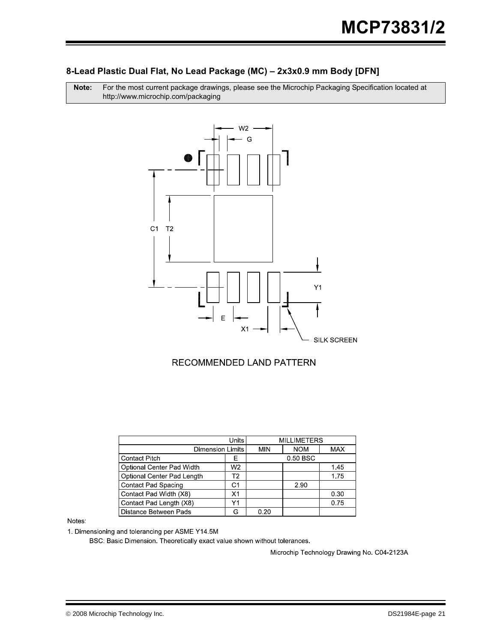### 8-Lead Plastic Dual Flat, No Lead Package (MC) – 2x3x0.9 mm Body [DFN]

Note: For the most current package drawings, please see the Microchip Packaging Specification located at http://www.microchip.com/packaging



### RECOMMENDED LAND PATTERN

|                            |    | <b>MILLIMETERS</b> |            |            |  |
|----------------------------|----|--------------------|------------|------------|--|
| <b>Dimension Limits</b>    |    | <b>MIN</b>         | <b>NOM</b> | <b>MAX</b> |  |
| <b>Contact Pitch</b>       | F  |                    | 0.50 BSC   |            |  |
| Optional Center Pad Width  | W2 |                    |            | 1.45       |  |
| Optional Center Pad Length | Т2 |                    |            | 1.75       |  |
| <b>Contact Pad Spacing</b> | C1 | 2.90               |            |            |  |
| Contact Pad Width (X8)     | Χ1 |                    |            | 0.30       |  |
| Contact Pad Length (X8)    | Υ1 |                    |            | 0.75       |  |
| Distance Between Pads      |    | 0.20               |            |            |  |

Notes:

1. Dimensioning and tolerancing per ASME Y14.5M

BSC: Basic Dimension. Theoretically exact value shown without tolerances.

Microchip Technology Drawing No. C04-2123A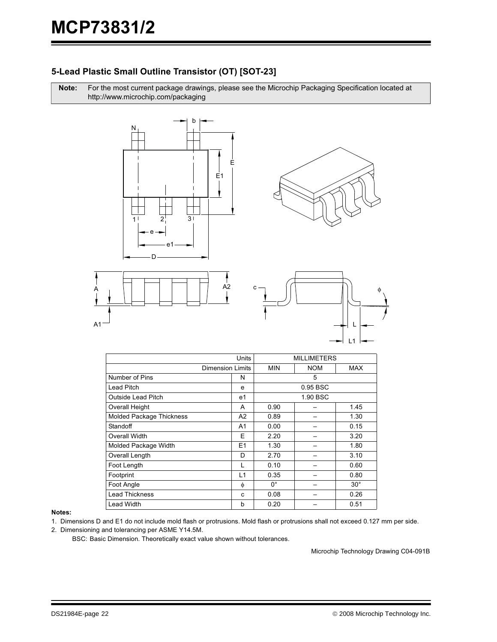### 5-Lead Plastic Small Outline Transistor (OT) [SOT-23]

Note: For the most current package drawings, please see the Microchip Packaging Specification located at http://www.microchip.com/packaging









|                                 | <b>Units</b>            | <b>MILLIMETERS</b> |            |              |
|---------------------------------|-------------------------|--------------------|------------|--------------|
|                                 | <b>Dimension Limits</b> | <b>MIN</b>         | <b>NOM</b> | <b>MAX</b>   |
| Number of Pins                  | N                       | 5                  |            |              |
| Lead Pitch                      | e                       | 0.95 BSC           |            |              |
| <b>Outside Lead Pitch</b>       | e1                      | 1.90 BSC           |            |              |
| <b>Overall Height</b>           | A                       | 0.90               |            | 1.45         |
| <b>Molded Package Thickness</b> | A <sub>2</sub>          | 0.89               |            | 1.30         |
| Standoff                        | A1                      | 0.00               |            | 0.15         |
| Overall Width                   | Ε                       | 2.20               |            | 3.20         |
| Molded Package Width            | E <sub>1</sub>          | 1.30               |            | 1.80         |
| Overall Length                  | D                       | 2.70               |            | 3.10         |
| Foot Length                     |                         | 0.10               |            | 0.60         |
| Footprint                       | L1                      | 0.35               |            | 0.80         |
| Foot Angle                      | φ                       | $0^{\circ}$        |            | $30^{\circ}$ |
| <b>Lead Thickness</b>           | C                       | 0.08               |            | 0.26         |
| <b>Lead Width</b>               | b                       | 0.20               |            | 0.51         |

#### Notes:

- 1. Dimensions D and E1 do not include mold flash or protrusions. Mold flash or protrusions shall not exceed 0.127 mm per side.
- 2. Dimensioning and tolerancing per ASME Y14.5M.

BSC: Basic Dimension. Theoretically exact value shown without tolerances.

Microchip Technology Drawing C04-091B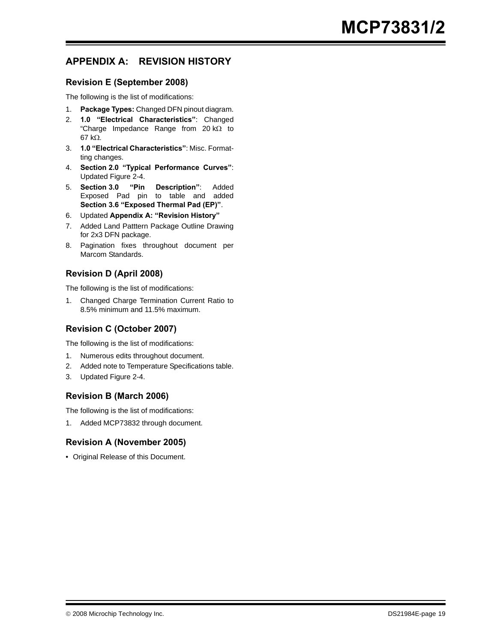### <span id="page-22-0"></span>**APPENDIX A: REVISION HISTORY**

### **Revision E (September 2008)**

The following is the list of modifications:

- 1. **Package Types:** Changed DFN pinout diagram.
- 2. **[1.0 "Electrical Characteristics"](#page-2-2)**: Changed "Charge Impedance Range from 20 kΩ to 67 kΩ.
- 3. **[1.0 "Electrical Characteristics"](#page-2-2)**: Misc. Formatting changes.
- 4. **[Section 2.0 "Typical Performance Curves"](#page-6-0)**: Updated Figure 2-4.
- 5. **[Section 3.0 "Pin Description"](#page-10-1)**: Added Exposed Pad pin to table and added **[Section 3.6 "Exposed Thermal Pad \(EP\)"](#page-10-2)**.
- 6. Updated **[Appendix A: "Revision History"](#page-22-0)**
- 7. Added Land Patttern Package Outline Drawing for 2x3 DFN package.
- 8. Pagination fixes throughout document per Marcom Standards.

### **Revision D (April 2008)**

The following is the list of modifications:

1. Changed Charge Termination Current Ratio to 8.5% minimum and 11.5% maximum.

### **Revision C (October 2007)**

The following is the list of modifications:

- 1. Numerous edits throughout document.
- 2. Added note to Temperature Specifications table.
- 3. Updated Figure 2-4.

### **Revision B (March 2006)**

The following is the list of modifications:

1. Added MCP73832 through document.

### **Revision A (November 2005)**

• Original Release of this Document.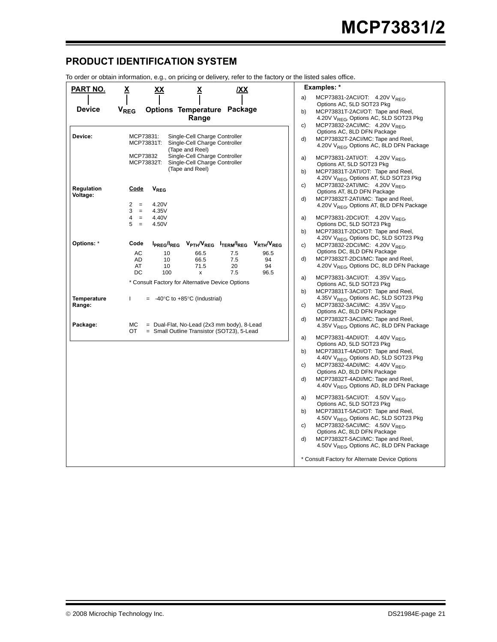### <span id="page-24-0"></span>**PRODUCT IDENTIFICATION SYSTEM**

To order or obtain information, e.g., on pricing or delivery, refer to the factory or the listed sales office.

|                    | ro order or obtain information, e.g., on pricing or delivery, refer to the factory or the listed sales onice. |                                                                                                 |
|--------------------|---------------------------------------------------------------------------------------------------------------|-------------------------------------------------------------------------------------------------|
| <u>PART NO.</u>    | <u>IXX</u><br><u>x</u><br><u>xx</u><br><u>х</u>                                                               | Examples: *                                                                                     |
|                    |                                                                                                               | MCP73831-2ACI/OT: 4.20V V <sub>RFG</sub><br>a)                                                  |
| <b>Device</b>      | <b>V<sub>REG</sub></b><br><b>Options Temperature Package</b>                                                  | Options AC, 5LD SOT23 Pkg                                                                       |
|                    | Range                                                                                                         | MCP73831T-2ACI/OT: Tape and Reel,<br>b)<br>4.20V V <sub>REG</sub> , Options AC, 5LD SOT23 Pkg   |
|                    |                                                                                                               | MCP73832-2ACI/MC: 4.20V V <sub>REG</sub> ,<br>c)                                                |
|                    |                                                                                                               | Options AC, 8LD DFN Package                                                                     |
| Device:            | MCP73831:<br>Single-Cell Charge Controller                                                                    | d)<br>MCP73832T-2ACI/MC: Tape and Reel,                                                         |
|                    | MCP73831T:<br>Single-Cell Charge Controller<br>(Tape and Reel)                                                | 4.20V V <sub>REG</sub> , Options AC, 8LD DFN Package                                            |
|                    | MCP73832<br>Single-Cell Charge Controller                                                                     | MCP73831-2ATI/OT: 4.20V V <sub>REG</sub> ,<br>a)                                                |
|                    | MCP73832T:<br>Single-Cell Charge Controller                                                                   | Options AT, 5LD SOT23 Pkg                                                                       |
|                    | (Tape and Reel)                                                                                               | MCP73831T-2ATI/OT: Tape and Reel,<br>b)                                                         |
|                    |                                                                                                               | 4.20V V <sub>REG</sub> , Options AT, 5LD SOT23 Pkg                                              |
| Regulation         | Code<br><b>V<sub>REG</sub></b>                                                                                | MCP73832-2ATI/MC: 4.20V V <sub>REG</sub> ,<br>C)                                                |
| Voltage:           |                                                                                                               | Options AT, 8LD DFN Package                                                                     |
|                    | 4.20V<br>2<br>$=$                                                                                             | MCP73832T-2ATI/MC: Tape and Reel,<br>d)<br>4.20V V <sub>RFG</sub> , Options AT, 8LD DFN Package |
|                    | 3<br>4.35V<br>$\equiv$                                                                                        |                                                                                                 |
|                    | 4.40V<br>4<br>$\equiv$                                                                                        | MCP73831-2DCI/OT: 4.20V $V_{REG}$<br>a)                                                         |
|                    | 5<br>4.50V<br>$\quad =$                                                                                       | Options DC, 5LD SOT23 Pkg                                                                       |
|                    |                                                                                                               | MCP73831T-2DCI/OT: Tape and Reel,<br>b)<br>4.20V V <sub>REG</sub> , Options DC, 5LD SOT23 Pkg   |
| Options: *         | Code<br>IPREG/IREG VPTH/VREG ITERM/IREG<br>V <sub>RTH</sub> /V <sub>REG</sub>                                 | MCP73832-2DCI/MC: 4.20V V <sub>REG</sub> ,<br>c)                                                |
|                    | AC<br>10<br>66.5<br>7.5<br>96.5                                                                               | Options DC, 8LD DFN Package                                                                     |
|                    | AD<br>10<br>66.5<br>7.5<br>94                                                                                 | d)<br>MCP73832T-2DCI/MC: Tape and Reel,                                                         |
|                    | AT<br>10<br>71.5<br>20<br>94                                                                                  | 4.20V V <sub>RFG</sub> , Options DC, 8LD DFN Package                                            |
|                    | DC<br>100<br>7.5<br>96.5<br>x                                                                                 | MCP73831-3ACI/OT: 4.35V V <sub>REG</sub> ,<br>a)                                                |
|                    | * Consult Factory for Alternative Device Options                                                              | Options AC, 5LD SOT23 Pkg                                                                       |
|                    |                                                                                                               | MCP73831T-3ACI/OT: Tape and Reel,<br>b)                                                         |
| <b>Temperature</b> | $= -40^{\circ}$ C to +85 $^{\circ}$ C (Industrial)<br>L                                                       | 4.35V VREG, Options AC, 5LD SOT23 Pkg                                                           |
| Range:             |                                                                                                               | MCP73832-3ACI/MC: 4.35V VREG<br>c)                                                              |
|                    |                                                                                                               | Options AC, 8LD DFN Package<br>MCP73832T-3ACI/MC: Tape and Reel,<br>d)                          |
| Package:           | МC<br>$=$ Dual-Flat, No-Lead (2x3 mm body), 8-Lead                                                            | 4.35V V <sub>REG</sub> , Options AC, 8LD DFN Package                                            |
|                    | = Small Outline Transistor (SOT23), 5-Lead<br>OT                                                              |                                                                                                 |
|                    |                                                                                                               | MCP73831-4ADI/OT: 4.40V $V_{RFG}$<br>a)                                                         |
|                    |                                                                                                               | Options AD, 5LD SOT23 Pkg<br>MCP73831T-4ADI/OT: Tape and Reel,<br>b)                            |
|                    |                                                                                                               | 4.40V V <sub>REG</sub> , Options AD, 5LD SOT23 Pkg                                              |
|                    |                                                                                                               | MCP73832-4ADI/MC: 4.40V VRFG<br>c)                                                              |
|                    |                                                                                                               | Options AD, 8LD DFN Package                                                                     |
|                    |                                                                                                               | d)<br>MCP73832T-4ADI/MC: Tape and Reel,                                                         |
|                    |                                                                                                               | 4.40V V <sub>REG</sub> , Options AD, 8LD DFN Package                                            |
|                    |                                                                                                               | MCP73831-5ACI/OT: 4.50V V <sub>REG</sub><br>a)                                                  |
|                    |                                                                                                               | Options AC, 5LD SOT23 Pkg                                                                       |
|                    |                                                                                                               | MCP73831T-5ACI/OT: Tape and Reel,<br>b)                                                         |
|                    |                                                                                                               | 4.50V V <sub>REG</sub> , Options AC, 5LD SOT23 Pkg<br>MCP73832-5ACI/MC: 4.50V VRFG<br>c)        |
|                    |                                                                                                               | Options AC, 8LD DFN Package                                                                     |
|                    |                                                                                                               | d)<br>MCP73832T-5ACI/MC: Tape and Reel,                                                         |
|                    |                                                                                                               | 4.50V V <sub>RFG</sub> , Options AC, 8LD DFN Package                                            |
|                    |                                                                                                               |                                                                                                 |
|                    |                                                                                                               | * Consult Factory for Alternate Device Options                                                  |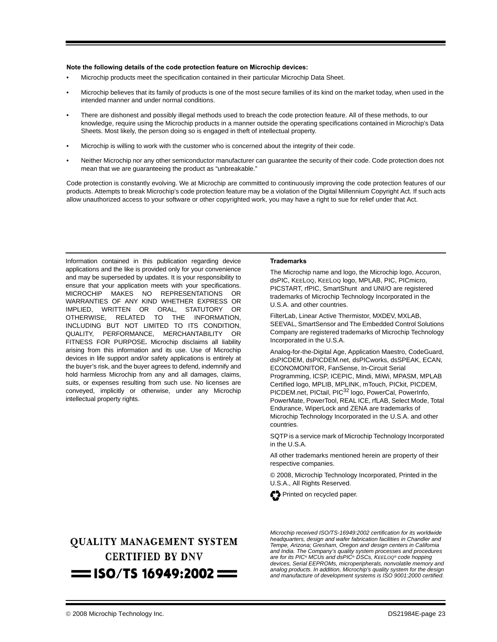#### **Note the following details of the code protection feature on Microchip devices:**

- Microchip products meet the specification contained in their particular Microchip Data Sheet.
- Microchip believes that its family of products is one of the most secure families of its kind on the market today, when used in the intended manner and under normal conditions.
- There are dishonest and possibly illegal methods used to breach the code protection feature. All of these methods, to our knowledge, require using the Microchip products in a manner outside the operating specifications contained in Microchip's Data Sheets. Most likely, the person doing so is engaged in theft of intellectual property.
- Microchip is willing to work with the customer who is concerned about the integrity of their code.
- Neither Microchip nor any other semiconductor manufacturer can guarantee the security of their code. Code protection does not mean that we are guaranteeing the product as "unbreakable."

Code protection is constantly evolving. We at Microchip are committed to continuously improving the code protection features of our products. Attempts to break Microchip's code protection feature may be a violation of the Digital Millennium Copyright Act. If such acts allow unauthorized access to your software or other copyrighted work, you may have a right to sue for relief under that Act.

Information contained in this publication regarding device applications and the like is provided only for your convenience and may be superseded by updates. It is your responsibility to ensure that your application meets with your specifications. MICROCHIP MAKES NO REPRESENTATIONS OR WARRANTIES OF ANY KIND WHETHER EXPRESS OR IMPLIED, WRITTEN OR ORAL, STATUTORY OR OTHERWISE, RELATED TO THE INFORMATION, INCLUDING BUT NOT LIMITED TO ITS CONDITION, QUALITY, PERFORMANCE, MERCHANTABILITY OR FITNESS FOR PURPOSE**.** Microchip disclaims all liability arising from this information and its use. Use of Microchip devices in life support and/or safety applications is entirely at the buyer's risk, and the buyer agrees to defend, indemnify and hold harmless Microchip from any and all damages, claims, suits, or expenses resulting from such use. No licenses are conveyed, implicitly or otherwise, under any Microchip intellectual property rights.

#### **Trademarks**

The Microchip name and logo, the Microchip logo, Accuron, dsPIC, KEELOQ, KEELOQ logo, MPLAB, PIC, PICmicro, PICSTART, rfPIC, SmartShunt and UNI/O are registered trademarks of Microchip Technology Incorporated in the U.S.A. and other countries.

FilterLab, Linear Active Thermistor, MXDEV, MXLAB, SEEVAL, SmartSensor and The Embedded Control Solutions Company are registered trademarks of Microchip Technology Incorporated in the U.S.A.

Analog-for-the-Digital Age, Application Maestro, CodeGuard, dsPICDEM, dsPICDEM.net, dsPICworks, dsSPEAK, ECAN, ECONOMONITOR, FanSense, In-Circuit Serial Programming, ICSP, ICEPIC, Mindi, MiWi, MPASM, MPLAB Certified logo, MPLIB, MPLINK, mTouch, PICkit, PICDEM, PICDEM.net, PICtail, PIC<sup>32</sup> logo, PowerCal, PowerInfo, PowerMate, PowerTool, REAL ICE, rfLAB, Select Mode, Total Endurance, WiperLock and ZENA are trademarks of Microchip Technology Incorporated in the U.S.A. and other countries.

SQTP is a service mark of Microchip Technology Incorporated in the U.S.A.

All other trademarks mentioned herein are property of their respective companies.

© 2008, Microchip Technology Incorporated, Printed in the U.S.A., All Rights Reserved.



### **OUALITY MANAGEMENT SYSTEM CERTIFIED BY DNV**  $=$  ISO/TS 16949:2002  $=$

*Microchip received ISO/TS-16949:2002 certification for its worldwide headquarters, design and wafer fabrication facilities in Chandler and Tempe, Arizona; Gresham, Oregon and design centers in California and India. The Company's quality system processes and procedures are for its PIC® MCUs and dsPIC® DSCs, KEELOQ® code hopping devices, Serial EEPROMs, microperipherals, nonvolatile memory and analog products. In addition, Microchip's quality system for the design and manufacture of development systems is ISO 9001:2000 certified.*